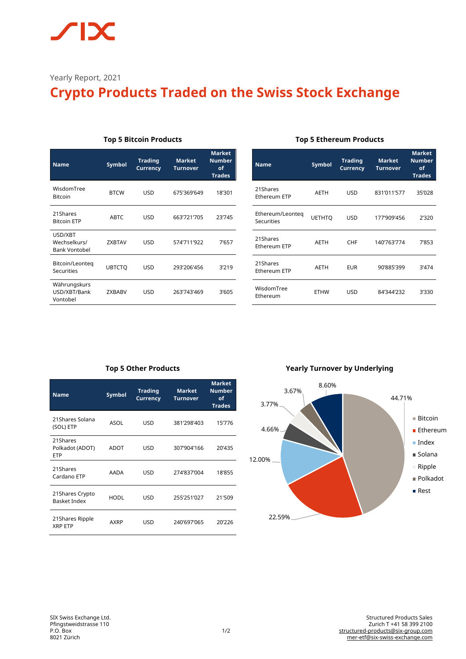# **IX**

Yearly Report, 2021

# **Crypto Products Traded on the Swiss Stock Exchange**

| <b>Name</b>                              | <b>Symbol</b> | <b>Trading</b><br><b>Currency</b> | <b>Market</b><br><b>Turnover</b> | <b>Market</b><br><b>Number</b><br>of<br><b>Trades</b> |
|------------------------------------------|---------------|-----------------------------------|----------------------------------|-------------------------------------------------------|
| WisdomTree<br><b>Bitcoin</b>             | <b>BTCW</b>   | USD                               | 675'369'649                      | 18'301                                                |
| 21Shares<br><b>Bitcoin ETP</b>           | <b>ABTC</b>   | USD                               | 663'721'705                      | 23'745                                                |
| USD/XBT<br>Wechselkurs/<br>Bank Vontobel | <b>ZXBTAV</b> | <b>USD</b>                        | 574'711'922                      | 7'657                                                 |
| Bitcoin/Leonteg<br>Securities            | <b>UBTCTO</b> | USD                               | 293'206'456                      | 3'219                                                 |
| Währungskurs<br>USD/XBT/Bank<br>Vontobel | <b>ZXBABV</b> | USD                               | 263'743'469                      | 3'605                                                 |

#### **Top 5 Bitcoin Products**

#### **Top 5 Ethereum Products**

| Name                           | <b>Symbol</b> | <b>Trading</b><br><b>Currency</b> | <b>Market</b><br><b>Turnover</b> | <b>Market</b><br><b>Number</b><br>οf<br><b>Trades</b> |
|--------------------------------|---------------|-----------------------------------|----------------------------------|-------------------------------------------------------|
| 21Shares<br>Ethereum ETP       | <b>AETH</b>   | USD                               | 831'011'577                      | 35'028                                                |
| Ethereum/Leonteg<br>Securities | <b>UETHTO</b> | <b>USD</b>                        | 177'909'456                      | 2'320                                                 |
| 21Shares<br>Ethereum ETP       | <b>AETH</b>   | CHF                               | 140'763'774                      | 7'853                                                 |
| 21Shares<br>Ethereum ETP       | <b>AETH</b>   | EUR                               | 90'885'399                       | 3'474                                                 |
| WisdomTree<br>Ethereum         | <b>ETHW</b>   | USD                               | 84'344'232                       | 3'330                                                 |

# **Top 5 Other Products**

| Name                                      | <b>Symbol</b> | <b>Trading</b><br><b>Currency</b> | <b>Market</b><br><b>Turnover</b> | <b>Market</b><br><b>Number</b><br>of<br><b>Trades</b> |
|-------------------------------------------|---------------|-----------------------------------|----------------------------------|-------------------------------------------------------|
| 21Shares Solana<br>(SOL) ETP              | ASOL          | USD                               | 381'298'403                      | 15'776                                                |
| 21Shares<br>Polkadot (ADOT)<br><b>ETP</b> | ADOT          | USD                               | 307'904'166                      | 20'435                                                |
| 21Shares<br>Cardano ETP                   | AADA          | USD                               | 274'837'004                      | 18'855                                                |
| 21 Shares Crypto<br><b>Basket Index</b>   | <b>HODL</b>   | USD                               | 255'251'027                      | 21'509                                                |
| 21 Shares Ripple<br><b>XRP ETP</b>        | AXRP          | USD                               | 240'697'065                      | 20'226                                                |

### **Yearly Turnover by Underlying**